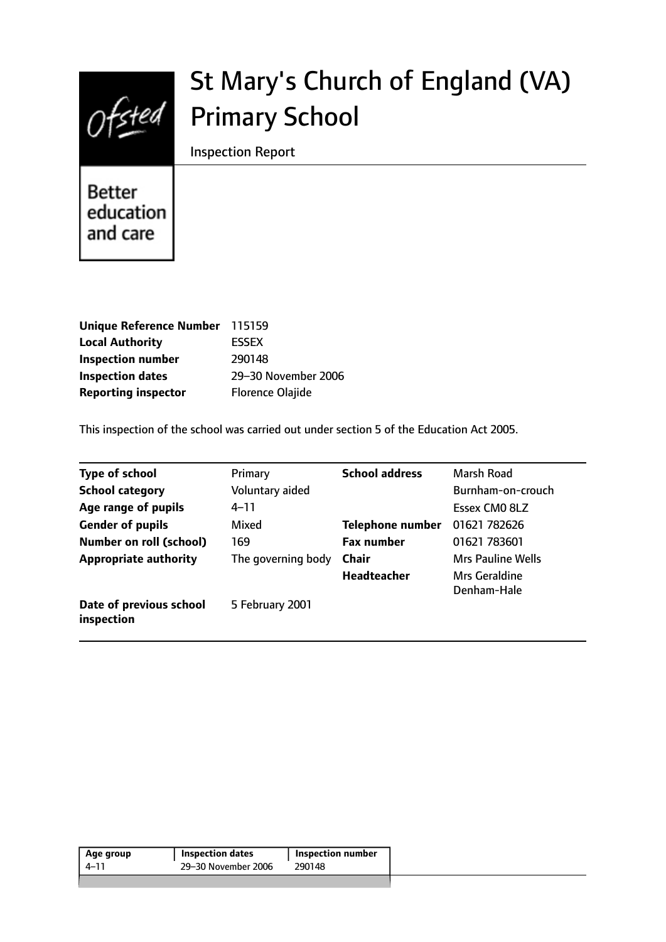

# St Mary's Church of England (VA) Primary School

Inspection Report

Better education and care

| Unique Reference Number 115159 |                         |
|--------------------------------|-------------------------|
| <b>Local Authority</b>         | <b>ESSEX</b>            |
| <b>Inspection number</b>       | 290148                  |
| <b>Inspection dates</b>        | 29-30 November 2006     |
| <b>Reporting inspector</b>     | <b>Florence Olajide</b> |

This inspection of the school was carried out under section 5 of the Education Act 2005.

| <b>Type of school</b>                 | Primary            | <b>School address</b>   | Marsh Road               |
|---------------------------------------|--------------------|-------------------------|--------------------------|
|                                       |                    |                         |                          |
| <b>School category</b>                | Voluntary aided    |                         | Burnham-on-crouch        |
| Age range of pupils                   | $4 - 11$           |                         | Essex CM0 8LZ            |
| <b>Gender of pupils</b>               | Mixed              | <b>Telephone number</b> | 01621 782626             |
| <b>Number on roll (school)</b>        | 169                | <b>Fax number</b>       | 01621 783601             |
| <b>Appropriate authority</b>          | The governing body | Chair                   | <b>Mrs Pauline Wells</b> |
|                                       |                    | <b>Headteacher</b>      | Mrs Geraldine            |
|                                       |                    |                         | Denham-Hale              |
| Date of previous school<br>inspection | 5 February 2001    |                         |                          |

| Age group | <b>Inspection dates</b> | Inspection number |  |
|-----------|-------------------------|-------------------|--|
| 4–11      | 29-30 November 2006     | 290148            |  |
|           |                         |                   |  |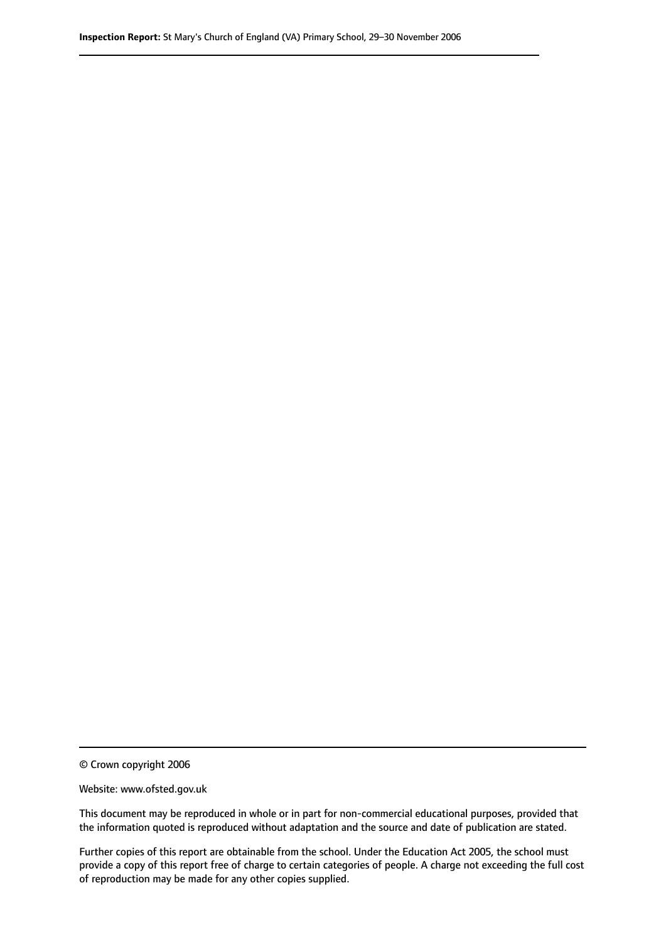© Crown copyright 2006

Website: www.ofsted.gov.uk

This document may be reproduced in whole or in part for non-commercial educational purposes, provided that the information quoted is reproduced without adaptation and the source and date of publication are stated.

Further copies of this report are obtainable from the school. Under the Education Act 2005, the school must provide a copy of this report free of charge to certain categories of people. A charge not exceeding the full cost of reproduction may be made for any other copies supplied.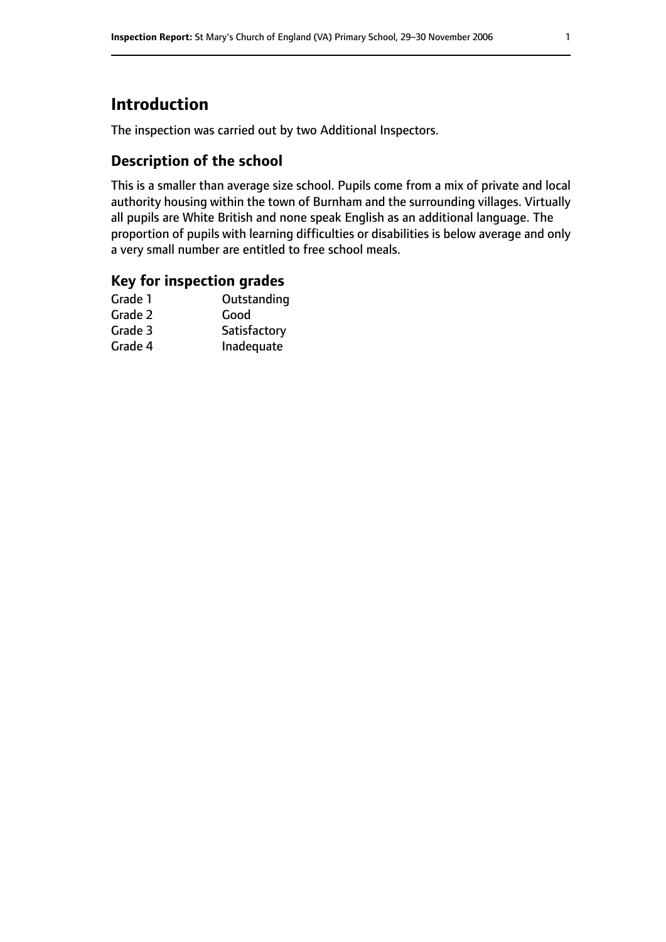# **Introduction**

The inspection was carried out by two Additional Inspectors.

### **Description of the school**

This is a smaller than average size school. Pupils come from a mix of private and local authority housing within the town of Burnham and the surrounding villages. Virtually all pupils are White British and none speak English as an additional language. The proportion of pupils with learning difficulties or disabilities is below average and only a very small number are entitled to free school meals.

### **Key for inspection grades**

| Good         |
|--------------|
|              |
| Satisfactory |
| Inadequate   |
|              |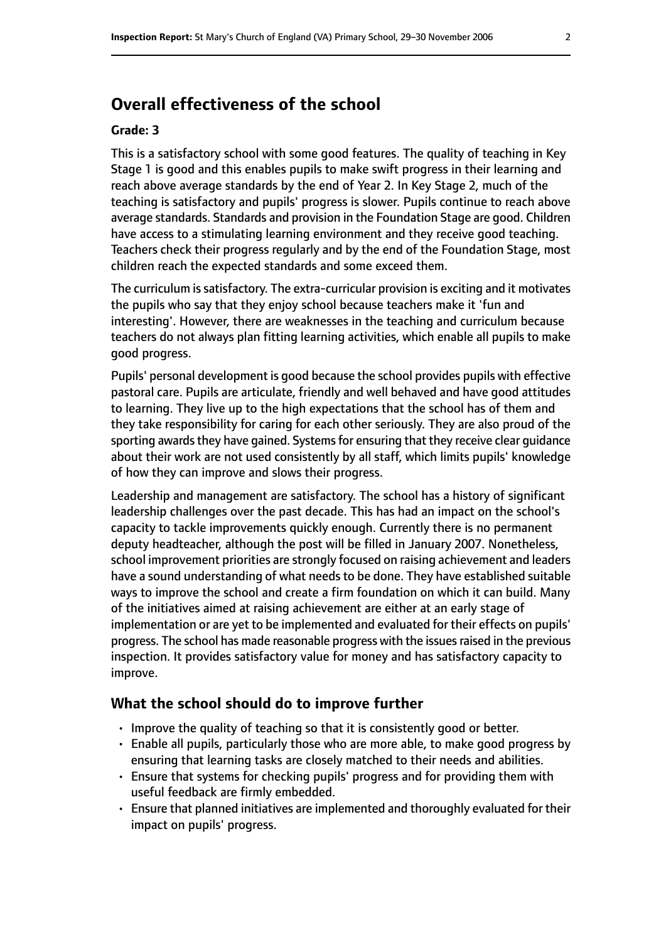# **Overall effectiveness of the school**

#### **Grade: 3**

This is a satisfactory school with some good features. The quality of teaching in Key Stage 1 is good and this enables pupils to make swift progress in their learning and reach above average standards by the end of Year 2. In Key Stage 2, much of the teaching is satisfactory and pupils' progress is slower. Pupils continue to reach above average standards. Standards and provision in the Foundation Stage are good. Children have access to a stimulating learning environment and they receive good teaching. Teachers check their progress regularly and by the end of the Foundation Stage, most children reach the expected standards and some exceed them.

The curriculum is satisfactory. The extra-curricular provision is exciting and it motivates the pupils who say that they enjoy school because teachers make it 'fun and interesting'. However, there are weaknesses in the teaching and curriculum because teachers do not always plan fitting learning activities, which enable all pupils to make good progress.

Pupils' personal development is good because the school provides pupils with effective pastoral care. Pupils are articulate, friendly and well behaved and have good attitudes to learning. They live up to the high expectations that the school has of them and they take responsibility for caring for each other seriously. They are also proud of the sporting awards they have gained. Systems for ensuring that they receive clear guidance about their work are not used consistently by all staff, which limits pupils' knowledge of how they can improve and slows their progress.

Leadership and management are satisfactory. The school has a history of significant leadership challenges over the past decade. This has had an impact on the school's capacity to tackle improvements quickly enough. Currently there is no permanent deputy headteacher, although the post will be filled in January 2007. Nonetheless, school improvement priorities are strongly focused on raising achievement and leaders have a sound understanding of what needs to be done. They have established suitable ways to improve the school and create a firm foundation on which it can build. Many of the initiatives aimed at raising achievement are either at an early stage of implementation or are yet to be implemented and evaluated for their effects on pupils' progress. The school has made reasonable progress with the issues raised in the previous inspection. It provides satisfactory value for money and has satisfactory capacity to improve.

#### **What the school should do to improve further**

- Improve the quality of teaching so that it is consistently good or better.
- Enable all pupils, particularly those who are more able, to make good progress by ensuring that learning tasks are closely matched to their needs and abilities.
- Ensure that systems for checking pupils' progress and for providing them with useful feedback are firmly embedded.
- Ensure that planned initiatives are implemented and thoroughly evaluated for their impact on pupils' progress.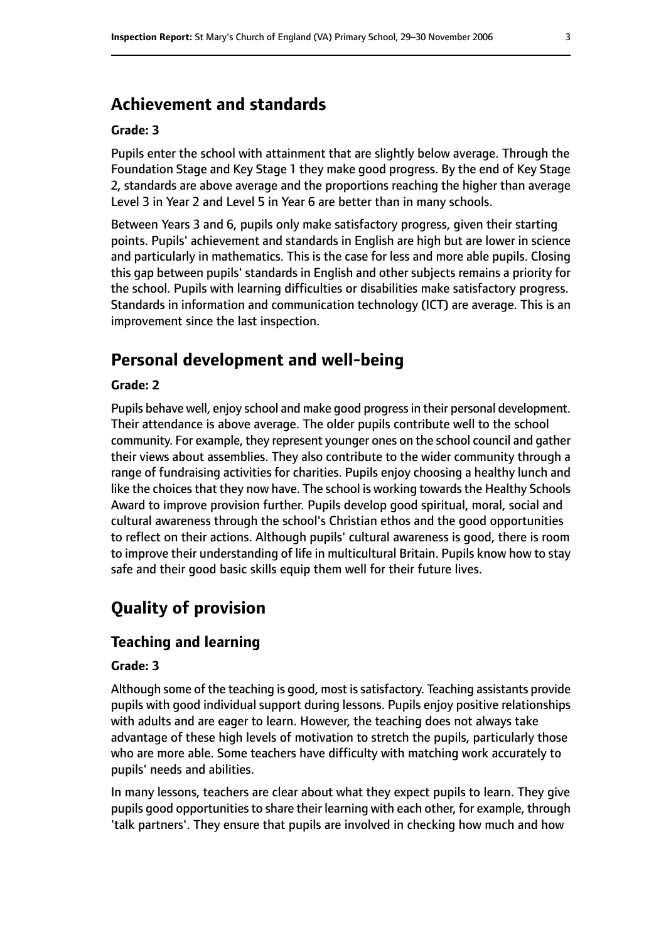# **Achievement and standards**

#### **Grade: 3**

Pupils enter the school with attainment that are slightly below average. Through the Foundation Stage and Key Stage 1 they make good progress. By the end of Key Stage 2, standards are above average and the proportions reaching the higher than average Level 3 in Year 2 and Level 5 in Year 6 are better than in many schools.

Between Years 3 and 6, pupils only make satisfactory progress, given their starting points. Pupils' achievement and standards in English are high but are lower in science and particularly in mathematics. This is the case for less and more able pupils. Closing this gap between pupils' standards in English and other subjects remains a priority for the school. Pupils with learning difficulties or disabilities make satisfactory progress. Standards in information and communication technology (ICT) are average. This is an improvement since the last inspection.

# **Personal development and well-being**

#### **Grade: 2**

Pupils behave well, enjoy school and make good progress in their personal development. Their attendance is above average. The older pupils contribute well to the school community. For example, they represent younger ones on the school council and gather their views about assemblies. They also contribute to the wider community through a range of fundraising activities for charities. Pupils enjoy choosing a healthy lunch and like the choices that they now have. The school is working towards the Healthy Schools Award to improve provision further. Pupils develop good spiritual, moral, social and cultural awareness through the school's Christian ethos and the good opportunities to reflect on their actions. Although pupils' cultural awareness is good, there is room to improve their understanding of life in multicultural Britain. Pupils know how to stay safe and their good basic skills equip them well for their future lives.

# **Quality of provision**

### **Teaching and learning**

#### **Grade: 3**

Although some of the teaching is good, most is satisfactory. Teaching assistants provide pupils with good individual support during lessons. Pupils enjoy positive relationships with adults and are eager to learn. However, the teaching does not always take advantage of these high levels of motivation to stretch the pupils, particularly those who are more able. Some teachers have difficulty with matching work accurately to pupils' needs and abilities.

In many lessons, teachers are clear about what they expect pupils to learn. They give pupils good opportunities to share their learning with each other, for example, through 'talk partners'. They ensure that pupils are involved in checking how much and how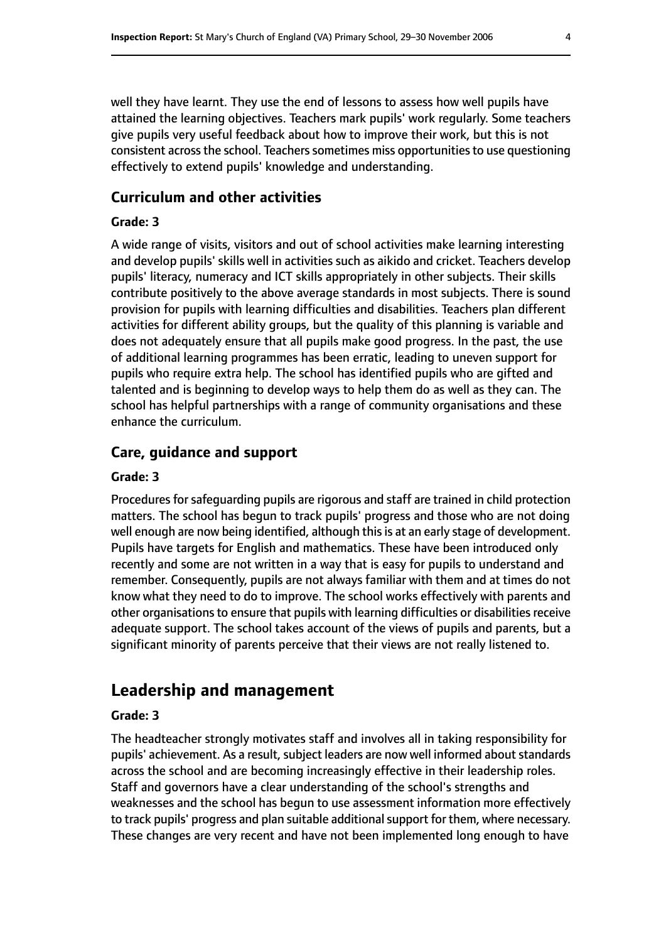well they have learnt. They use the end of lessons to assess how well pupils have attained the learning objectives. Teachers mark pupils' work regularly. Some teachers give pupils very useful feedback about how to improve their work, but this is not consistent across the school. Teachers sometimes miss opportunities to use questioning effectively to extend pupils' knowledge and understanding.

### **Curriculum and other activities**

#### **Grade: 3**

A wide range of visits, visitors and out of school activities make learning interesting and develop pupils' skills well in activities such as aikido and cricket. Teachers develop pupils' literacy, numeracy and ICT skills appropriately in other subjects. Their skills contribute positively to the above average standards in most subjects. There is sound provision for pupils with learning difficulties and disabilities. Teachers plan different activities for different ability groups, but the quality of this planning is variable and does not adequately ensure that all pupils make good progress. In the past, the use of additional learning programmes has been erratic, leading to uneven support for pupils who require extra help. The school has identified pupils who are gifted and talented and is beginning to develop ways to help them do as well as they can. The school has helpful partnerships with a range of community organisations and these enhance the curriculum.

#### **Care, guidance and support**

#### **Grade: 3**

Procedures for safeguarding pupils are rigorous and staff are trained in child protection matters. The school has begun to track pupils' progress and those who are not doing well enough are now being identified, although this is at an early stage of development. Pupils have targets for English and mathematics. These have been introduced only recently and some are not written in a way that is easy for pupils to understand and remember. Consequently, pupils are not always familiar with them and at times do not know what they need to do to improve. The school works effectively with parents and other organisations to ensure that pupils with learning difficulties or disabilities receive adequate support. The school takes account of the views of pupils and parents, but a significant minority of parents perceive that their views are not really listened to.

# **Leadership and management**

#### **Grade: 3**

The headteacher strongly motivates staff and involves all in taking responsibility for pupils' achievement. As a result, subject leaders are now well informed about standards across the school and are becoming increasingly effective in their leadership roles. Staff and governors have a clear understanding of the school's strengths and weaknesses and the school has begun to use assessment information more effectively to track pupils' progress and plan suitable additional support for them, where necessary. These changes are very recent and have not been implemented long enough to have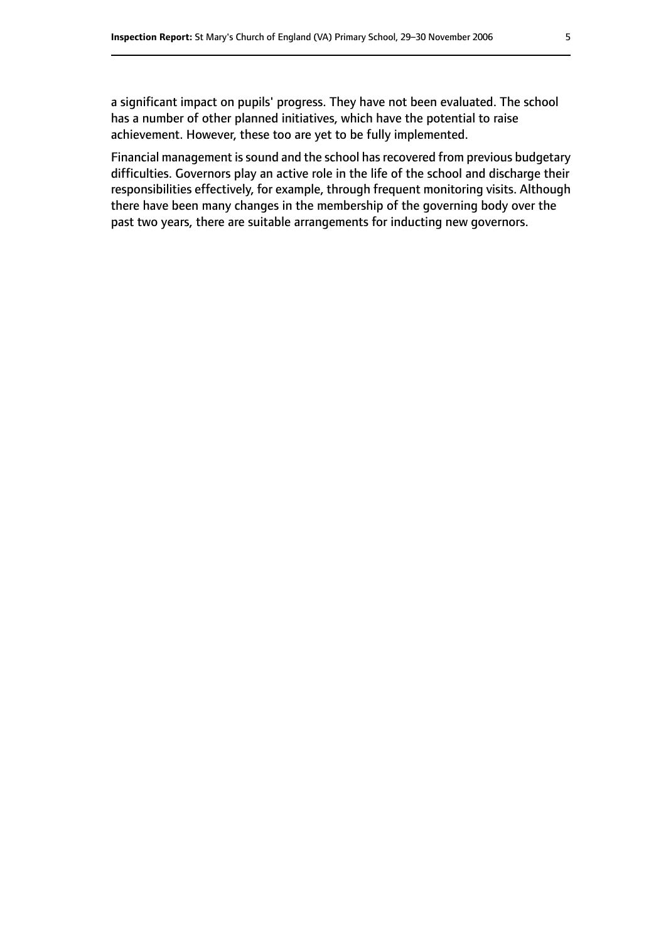a significant impact on pupils' progress. They have not been evaluated. The school has a number of other planned initiatives, which have the potential to raise achievement. However, these too are yet to be fully implemented.

Financial management is sound and the school has recovered from previous budgetary difficulties. Governors play an active role in the life of the school and discharge their responsibilities effectively, for example, through frequent monitoring visits. Although there have been many changes in the membership of the governing body over the past two years, there are suitable arrangements for inducting new governors.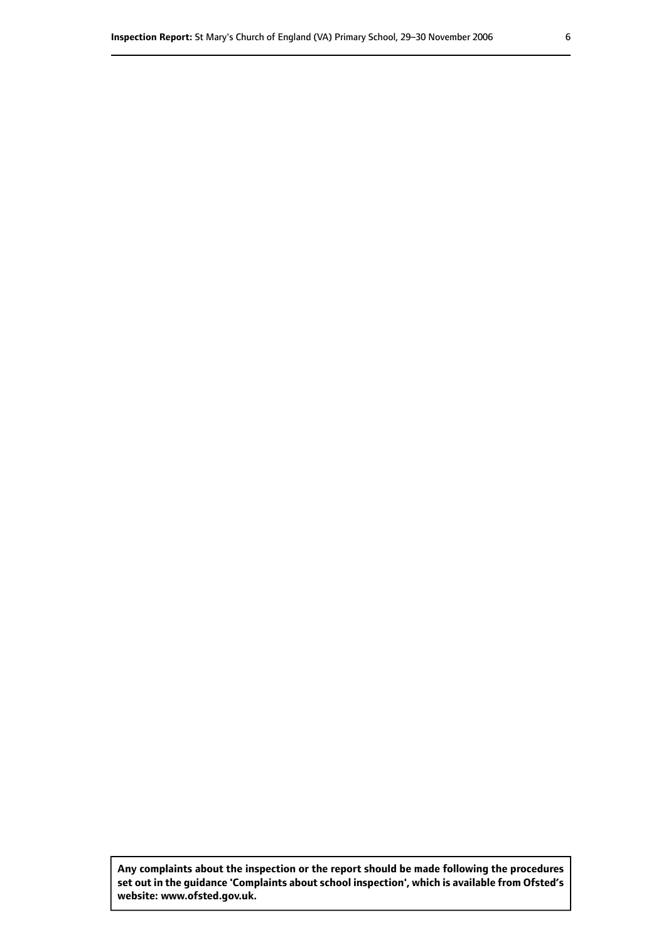**Any complaints about the inspection or the report should be made following the procedures set out inthe guidance 'Complaints about school inspection', whichis available from Ofsted's website: www.ofsted.gov.uk.**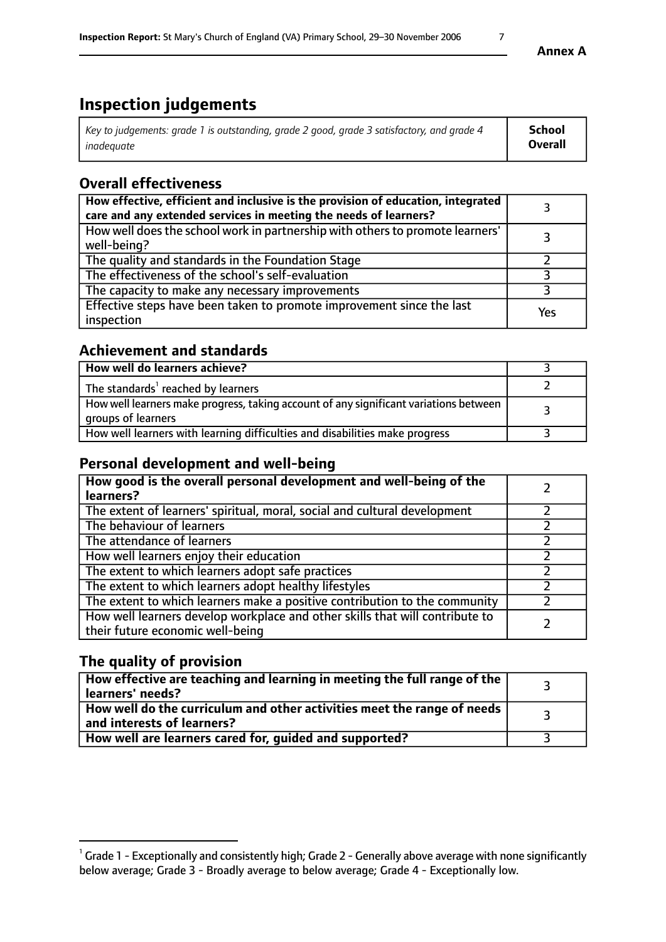# **Inspection judgements**

| Key to judgements: grade 1 is outstanding, grade 2 good, grade 3 satisfactory, and grade 4 | <b>School</b>  |
|--------------------------------------------------------------------------------------------|----------------|
| inadeauate                                                                                 | <b>Overall</b> |

## **Overall effectiveness**

| How effective, efficient and inclusive is the provision of education, integrated<br>care and any extended services in meeting the needs of learners? |     |
|------------------------------------------------------------------------------------------------------------------------------------------------------|-----|
| How well does the school work in partnership with others to promote learners'<br>well-being?                                                         |     |
| The quality and standards in the Foundation Stage                                                                                                    |     |
| The effectiveness of the school's self-evaluation                                                                                                    |     |
| The capacity to make any necessary improvements                                                                                                      |     |
| Effective steps have been taken to promote improvement since the last<br>inspection                                                                  | Yes |

### **Achievement and standards**

| How well do learners achieve?                                                                               |  |
|-------------------------------------------------------------------------------------------------------------|--|
| The standards <sup>1</sup> reached by learners                                                              |  |
| How well learners make progress, taking account of any significant variations between<br>groups of learners |  |
| How well learners with learning difficulties and disabilities make progress                                 |  |

### **Personal development and well-being**

| How good is the overall personal development and well-being of the<br>learners?                                  |  |
|------------------------------------------------------------------------------------------------------------------|--|
| The extent of learners' spiritual, moral, social and cultural development                                        |  |
| The behaviour of learners                                                                                        |  |
| The attendance of learners                                                                                       |  |
| How well learners enjoy their education                                                                          |  |
| The extent to which learners adopt safe practices                                                                |  |
| The extent to which learners adopt healthy lifestyles                                                            |  |
| The extent to which learners make a positive contribution to the community                                       |  |
| How well learners develop workplace and other skills that will contribute to<br>their future economic well-being |  |

## **The quality of provision**

| How effective are teaching and learning in meeting the full range of the<br>  learners' needs?               |  |
|--------------------------------------------------------------------------------------------------------------|--|
| How well do the curriculum and other activities meet the range of needs<br>$\mid$ and interests of learners? |  |
| How well are learners cared for, quided and supported?                                                       |  |

 $^1$  Grade 1 - Exceptionally and consistently high; Grade 2 - Generally above average with none significantly below average; Grade 3 - Broadly average to below average; Grade 4 - Exceptionally low.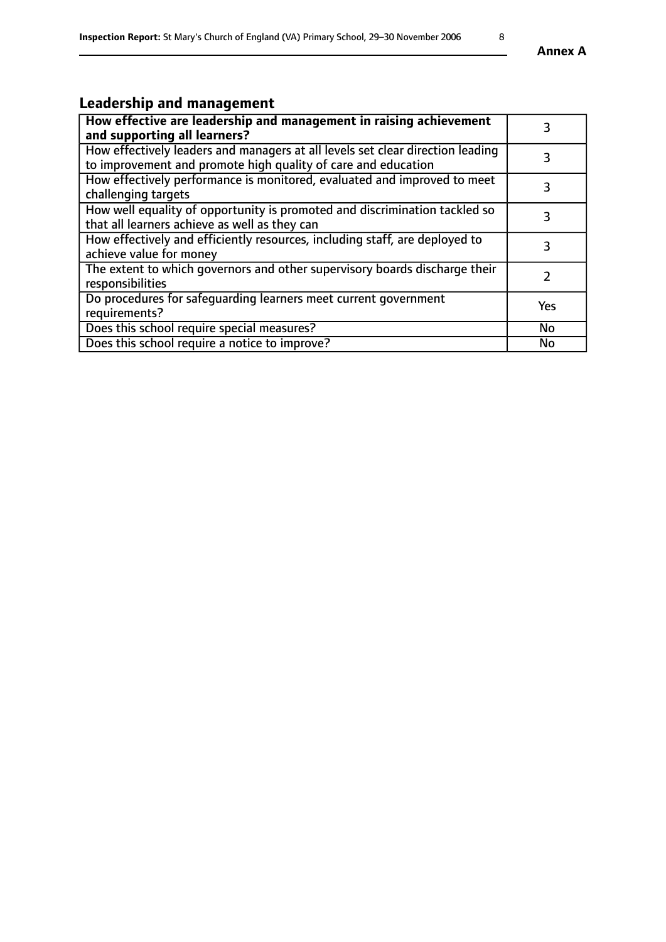# **Leadership and management**

| How effective are leadership and management in raising achievement<br>and supporting all learners?                                              | 3         |
|-------------------------------------------------------------------------------------------------------------------------------------------------|-----------|
| How effectively leaders and managers at all levels set clear direction leading<br>to improvement and promote high quality of care and education |           |
| How effectively performance is monitored, evaluated and improved to meet<br>challenging targets                                                 | 3         |
| How well equality of opportunity is promoted and discrimination tackled so<br>that all learners achieve as well as they can                     | 3         |
| How effectively and efficiently resources, including staff, are deployed to<br>achieve value for money                                          | 3         |
| The extent to which governors and other supervisory boards discharge their<br>responsibilities                                                  |           |
| Do procedures for safeguarding learners meet current government<br>requirements?                                                                | Yes       |
| Does this school require special measures?                                                                                                      | <b>No</b> |
| Does this school require a notice to improve?                                                                                                   | <b>No</b> |